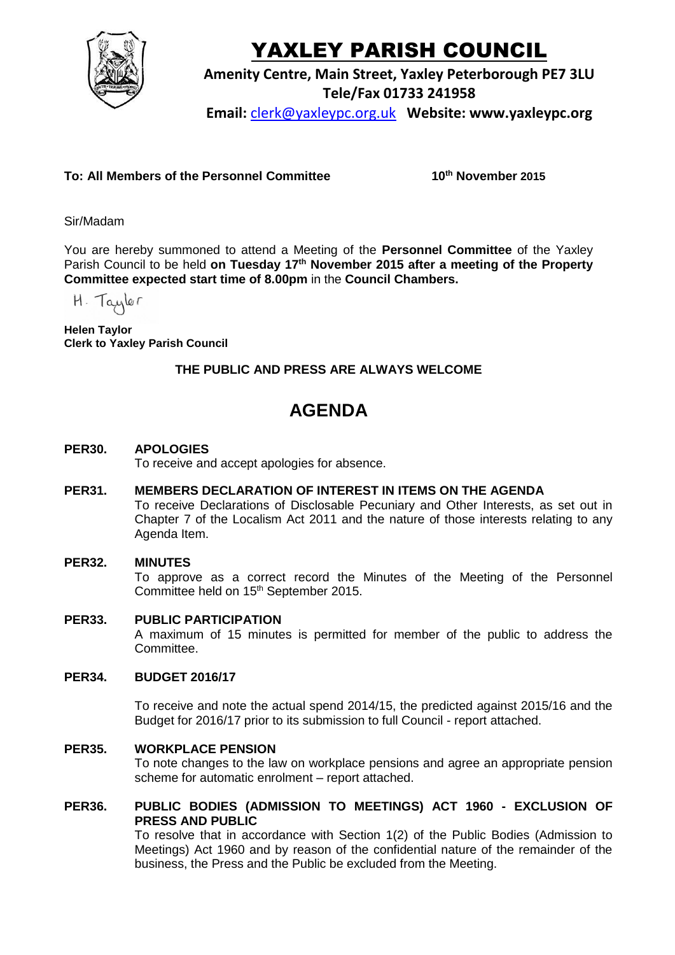

# YAXLEY PARISH COUNCIL

**Amenity Centre, Main Street, Yaxley Peterborough PE7 3LU**

**Tele/Fax 01733 241958**

**Email:** [clerk@yaxleypc.org.uk](mailto:clerk@yaxleypc.org.uk) **Website: www.yaxleypc.org**

## **To: All Members of the Personnel Committee 10th November 2015**

Sir/Madam

You are hereby summoned to attend a Meeting of the **Personnel Committee** of the Yaxley Parish Council to be held **on Tuesday 17th November 2015 after a meeting of the Property Committee expected start time of 8.00pm** in the **Council Chambers.**

H. Taylor

**Helen Taylor Clerk to Yaxley Parish Council**

## **THE PUBLIC AND PRESS ARE ALWAYS WELCOME**

## **AGENDA**

### **PER30. APOLOGIES**

To receive and accept apologies for absence.

**PER31. MEMBERS DECLARATION OF INTEREST IN ITEMS ON THE AGENDA**

To receive Declarations of Disclosable Pecuniary and Other Interests, as set out in Chapter 7 of the Localism Act 2011 and the nature of those interests relating to any Agenda Item.

#### **PER32. MINUTES**

To approve as a correct record the Minutes of the Meeting of the Personnel Committee held on 15<sup>th</sup> September 2015.

#### **PER33. PUBLIC PARTICIPATION**

A maximum of 15 minutes is permitted for member of the public to address the Committee.

#### **PER34. BUDGET 2016/17**

To receive and note the actual spend 2014/15, the predicted against 2015/16 and the Budget for 2016/17 prior to its submission to full Council - report attached.

#### **PER35. WORKPLACE PENSION**

To note changes to the law on workplace pensions and agree an appropriate pension scheme for automatic enrolment – report attached.

#### **PER36. PUBLIC BODIES (ADMISSION TO MEETINGS) ACT 1960 - EXCLUSION OF PRESS AND PUBLIC**

To resolve that in accordance with Section 1(2) of the Public Bodies (Admission to Meetings) Act 1960 and by reason of the confidential nature of the remainder of the business, the Press and the Public be excluded from the Meeting.